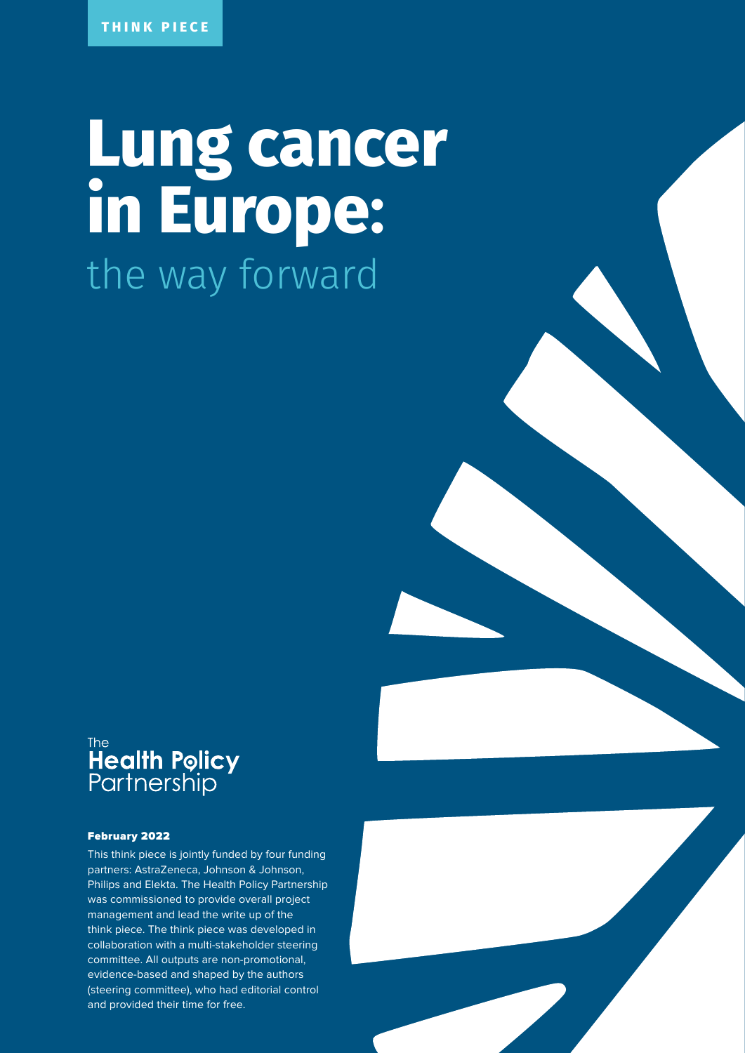# **Lung cancer in Europe:** the way forward

# The<br>**Health Policy**<br>Partnership

#### February 2022

This think piece is jointly funded by four funding partners: AstraZeneca, Johnson & Johnson, Philips and Elekta. The Health Policy Partnership was commissioned to provide overall project management and lead the write up of the think piece. The think piece was developed in collaboration with a multi-stakeholder steering committee. All outputs are non-promotional, evidence-based and shaped by the authors (steering committee), who had editorial control and provided their time for free.

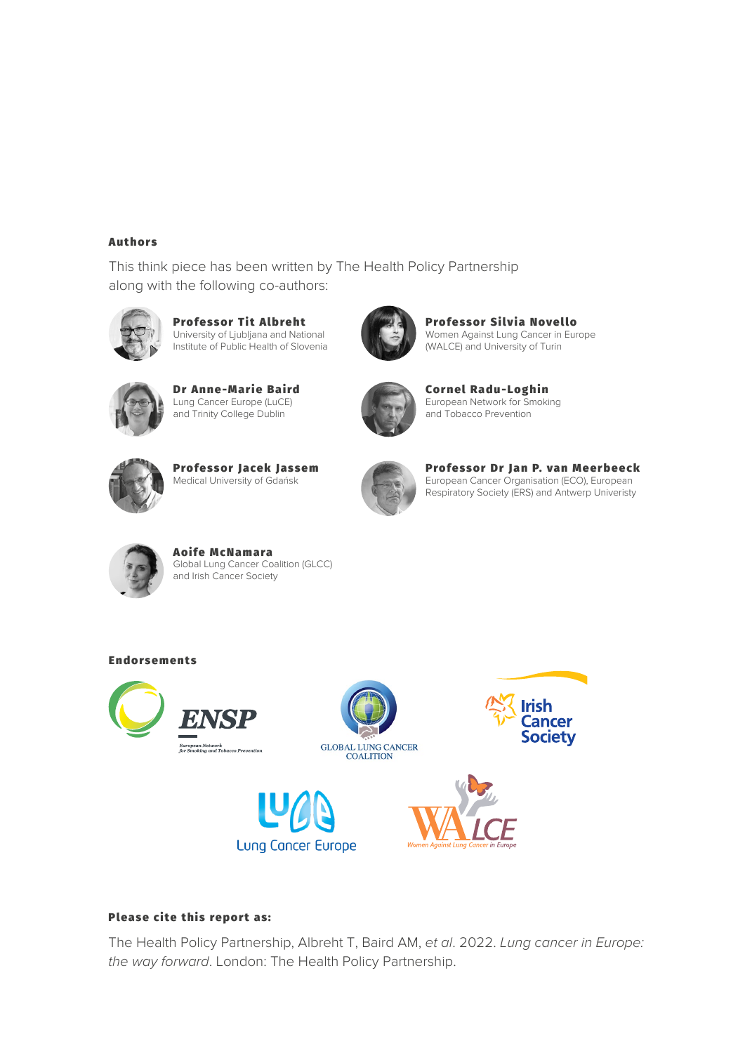#### **Authors**

This think piece has been written by The Health Policy Partnership along with the following co-authors:



Professor Tit Albreht University of Ljubljana and National Institute of Public Health of Slovenia



Professor Silvia Novello Women Against Lung Cancer in Europe (WALCE) and University of Turin



Dr Anne-Marie Baird Lung Cancer Europe (LuCE) and Trinity College Dublin



Cornel Radu-Loghin European Network for Smoking and Tobacco Prevention



Professor Jacek Jassem Medical University of Gdańsk



Professor Dr Jan P. van Meerbeeck European Cancer Organisation (ECO), European Respiratory Society (ERS) and Antwerp Univeristy



Aoife McNamara Global Lung Cancer Coalition (GLCC) and Irish Cancer Society

#### **Endorsements**











#### Please cite this report as:

The Health Policy Partnership, Albreht T, Baird AM, *et al*. 2022. *Lung cancer in Europe: the way forward*. London: The Health Policy Partnership.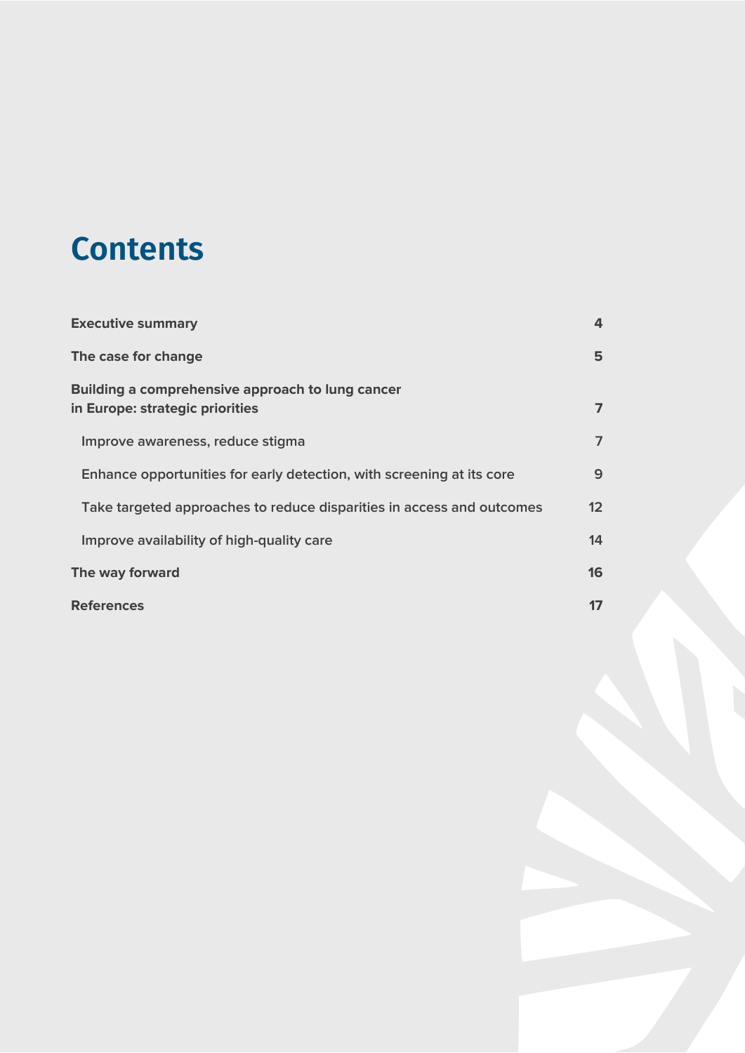# **Contents**

| <b>Executive summary</b>                                                            | 4                 |
|-------------------------------------------------------------------------------------|-------------------|
| The case for change                                                                 | 5                 |
| Building a comprehensive approach to lung cancer<br>in Europe: strategic priorities | $\overline{ }$    |
| Improve awareness, reduce stigma                                                    | $\overline{7}$    |
| Enhance opportunities for early detection, with screening at its core               | 9                 |
| Take targeted approaches to reduce disparities in access and outcomes               | $12 \overline{ }$ |
| Improve availability of high-quality care                                           | 14                |
| The way forward                                                                     | 16                |
| <b>References</b>                                                                   |                   |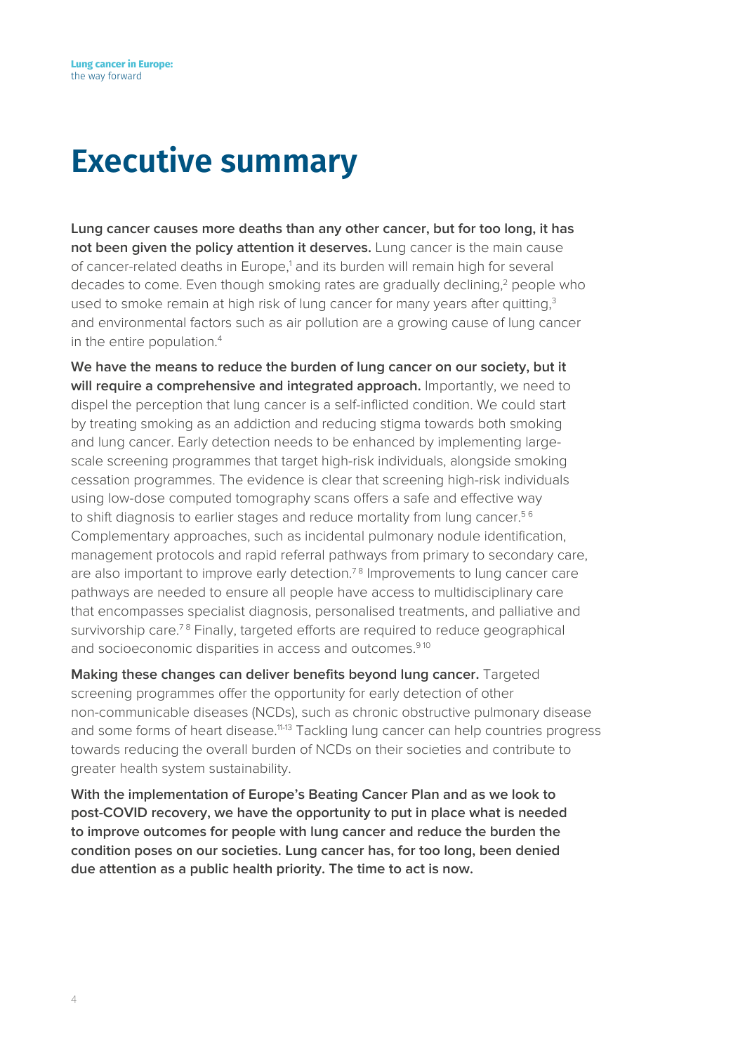# <span id="page-3-0"></span>**Executive summary**

**Lung cancer causes more deaths than any other cancer, but for too long, it has not been given the policy attention it deserves.** Lung cancer is the main cause of cancer-related deaths in Europe,<sup>1</sup> and its burden will remain high for several decades to come. Even though smoking rates are gradually declining,<sup>2</sup> people who used to smoke remain at high risk of lung cancer for many years after quitting,<sup>3</sup> and environmental factors such as air pollution are a growing cause of lung cancer in the entire population.<sup>4</sup>

**We have the means to reduce the burden of lung cancer on our society, but it will require a comprehensive and integrated approach.** Importantly, we need to dispel the perception that lung cancer is a self-inflicted condition. We could start by treating smoking as an addiction and reducing stigma towards both smoking and lung cancer. Early detection needs to be enhanced by implementing largescale screening programmes that target high-risk individuals, alongside smoking cessation programmes. The evidence is clear that screening high-risk individuals using low-dose computed tomography scans offers a safe and effective way to shift diagnosis to earlier stages and reduce mortality from lung cancer.<sup>56</sup> Complementary approaches, such as incidental pulmonary nodule identification, management protocols and rapid referral pathways from primary to secondary care, are also important to improve early detection.<sup>78</sup> Improvements to lung cancer care pathways are needed to ensure all people have access to multidisciplinary care that encompasses specialist diagnosis, personalised treatments, and palliative and survivorship care.<sup>78</sup> Finally, targeted efforts are required to reduce geographical and socioeconomic disparities in access and outcomes.<sup>910</sup>

**Making these changes can deliver benefits beyond lung cancer.** Targeted screening programmes offer the opportunity for early detection of other non-communicable diseases (NCDs), such as chronic obstructive pulmonary disease and some forms of heart disease.<sup>11-13</sup> Tackling lung cancer can help countries progress towards reducing the overall burden of NCDs on their societies and contribute to greater health system sustainability.

**With the implementation of Europe's Beating Cancer Plan and as we look to post-COVID recovery, we have the opportunity to put in place what is needed to improve outcomes for people with lung cancer and reduce the burden the condition poses on our societies. Lung cancer has, for too long, been denied due attention as a public health priority. The time to act is now.**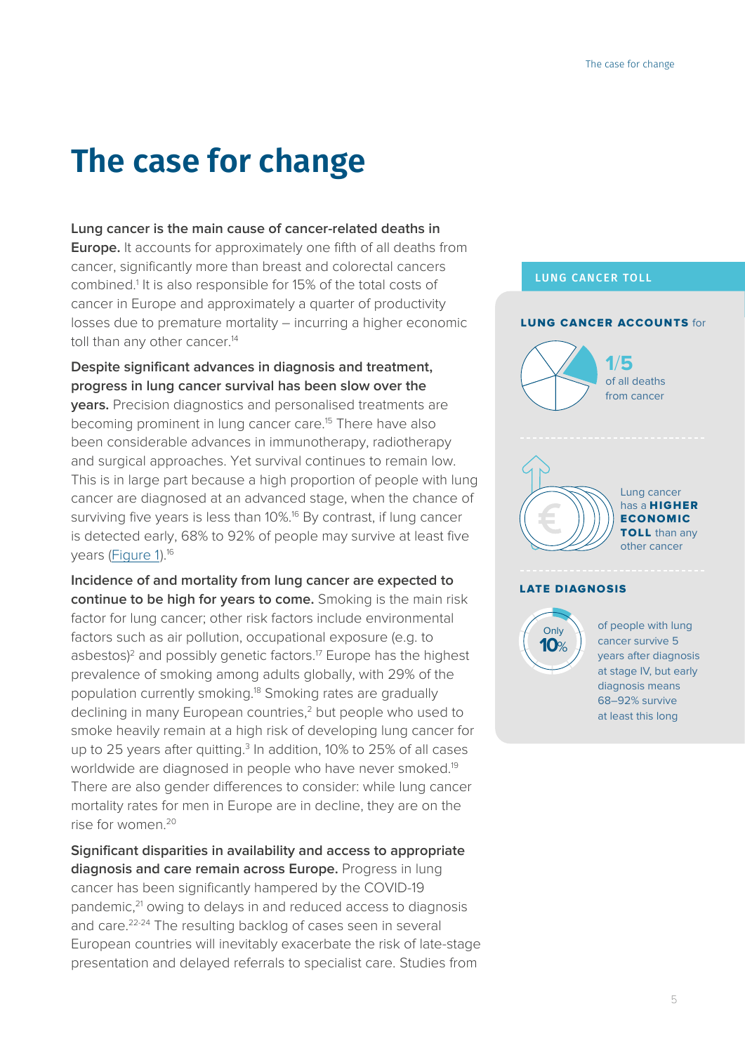# <span id="page-4-0"></span>**The case for change**

#### **Lung cancer is the main cause of cancer-related deaths in**

**Europe.** It accounts for approximately one fifth of all deaths from cancer, significantly more than breast and colorectal cancers combined.<sup>1</sup> It is also responsible for 15% of the total costs of cancer in Europe and approximately a quarter of productivity losses due to premature mortality – incurring a higher economic toll than any other cancer.<sup>14</sup>

**Despite significant advances in diagnosis and treatment, progress in lung cancer survival has been slow over the** 

**years.** Precision diagnostics and personalised treatments are becoming prominent in lung cancer care.<sup>15</sup> There have also been considerable advances in immunotherapy, radiotherapy and surgical approaches. Yet survival continues to remain low. This is in large part because a high proportion of people with lung cancer are diagnosed at an advanced stage, when the chance of surviving five years is less than 10%.<sup>16</sup> By contrast, if lung cancer is detected early, 68% to 92% of people may survive at least five years [\(Figure 1](#page-5-0)).16

**Incidence of and mortality from lung cancer are expected to continue to be high for years to come.** Smoking is the main risk factor for lung cancer; other risk factors include environmental factors such as air pollution, occupational exposure (e.g. to asbestos)<sup>2</sup> and possibly genetic factors.<sup>17</sup> Europe has the highest prevalence of smoking among adults globally, with 29% of the population currently smoking.18 Smoking rates are gradually declining in many European countries.<sup>2</sup> but people who used to smoke heavily remain at a high risk of developing lung cancer for up to 25 years after quitting. $3$  In addition, 10% to 25% of all cases worldwide are diagnosed in people who have never smoked.<sup>19</sup> There are also gender differences to consider: while lung cancer mortality rates for men in Europe are in decline, they are on the rise for women.20

**Significant disparities in availability and access to appropriate diagnosis and care remain across Europe.** Progress in lung cancer has been significantly hampered by the COVID-19 pandemic,<sup>21</sup> owing to delays in and reduced access to diagnosis and care.22-24 The resulting backlog of cases seen in several European countries will inevitably exacerbate the risk of late-stage presentation and delayed referrals to specialist care. Studies from

#### LUNG CANCER TOLL



**Only 10**%

of people with lung cancer survive 5 years after diagnosis at stage IV, but early diagnosis means 68–92% survive at least this long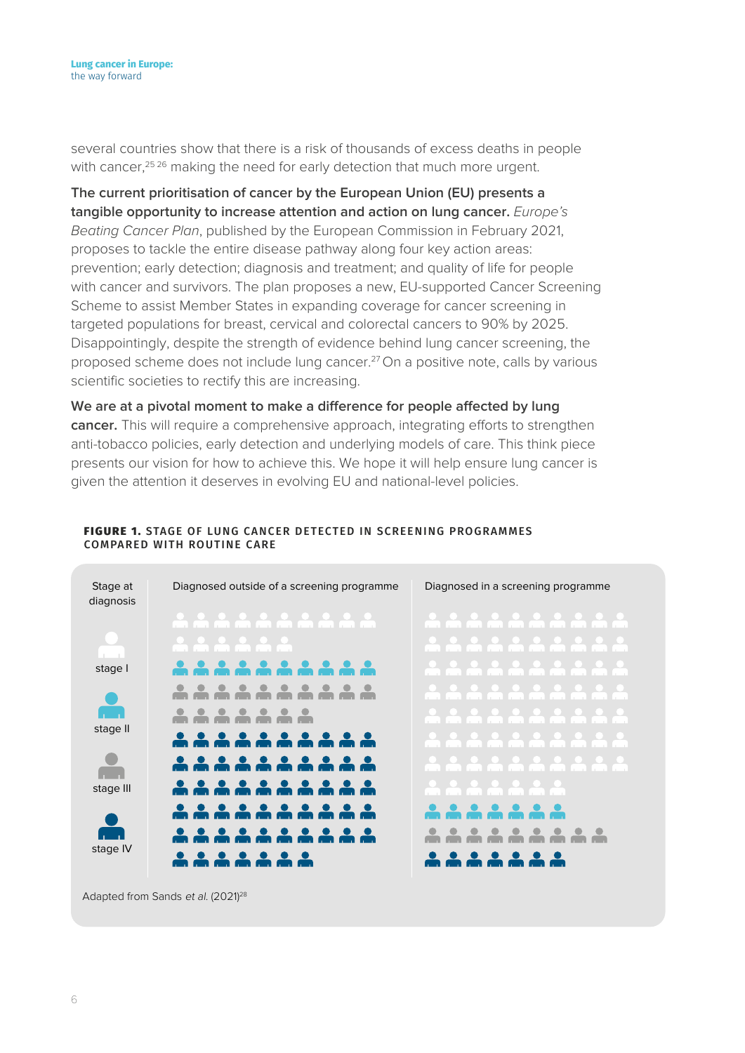several countries show that there is a risk of thousands of excess deaths in people with cancer,<sup>25,26</sup> making the need for early detection that much more urgent.

**The current prioritisation of cancer by the European Union (EU) presents a tangible opportunity to increase attention and action on lung cancer.** *Europe's Beating Cancer Plan*, published by the European Commission in February 2021, proposes to tackle the entire disease pathway along four key action areas: prevention; early detection; diagnosis and treatment; and quality of life for people with cancer and survivors. The plan proposes a new, EU-supported Cancer Screening Scheme to assist Member States in expanding coverage for cancer screening in targeted populations for breast, cervical and colorectal cancers to 90% by 2025. Disappointingly, despite the strength of evidence behind lung cancer screening, the proposed scheme does not include lung cancer.<sup>27</sup> On a positive note, calls by various scientific societies to rectify this are increasing.

**We are at a pivotal moment to make a difference for people affected by lung cancer.** This will require a comprehensive approach, integrating efforts to strengthen anti-tobacco policies, early detection and underlying models of care. This think piece presents our vision for how to achieve this. We hope it will help ensure lung cancer is given the attention it deserves in evolving EU and national-level policies.



#### <span id="page-5-0"></span>FIGURE 1. STAGE OF LUNG CANCER DETECTED IN SCREENING PROGRAMMES COMPARED WITH ROUTINE CARE

Adapted from Sands et al. (2021)<sup>28</sup>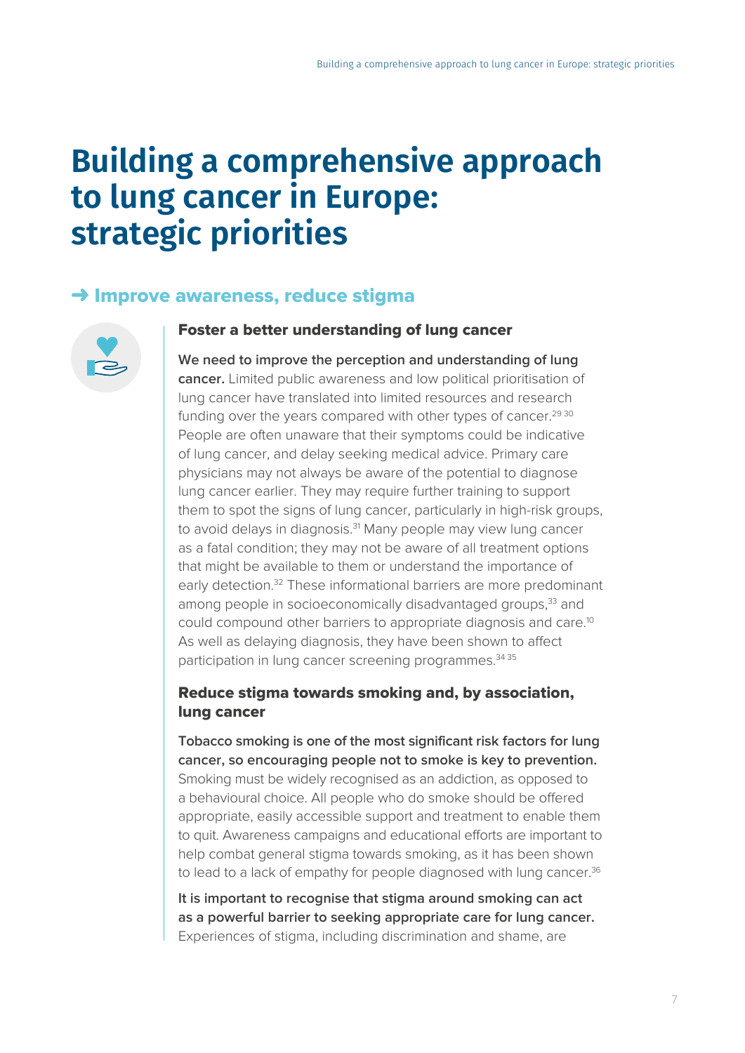# <span id="page-6-0"></span>**Building a comprehensive approach to lung cancer in Europe: strategic priorities**

# **→ Improve awareness, reduce stigma**



### Foster a better understanding of lung cancer

**We need to improve the perception and understanding of lung cancer.** Limited public awareness and low political prioritisation of lung cancer have translated into limited resources and research funding over the years compared with other types of cancer.<sup>29 30</sup> People are often unaware that their symptoms could be indicative of lung cancer, and delay seeking medical advice. Primary care physicians may not always be aware of the potential to diagnose lung cancer earlier. They may require further training to support them to spot the signs of lung cancer, particularly in high-risk groups, to avoid delays in diagnosis.<sup>31</sup> Many people may view lung cancer as a fatal condition; they may not be aware of all treatment options that might be available to them or understand the importance of early detection.<sup>32</sup> These informational barriers are more predominant among people in socioeconomically disadvantaged groups,<sup>33</sup> and could compound other barriers to appropriate diagnosis and care.10 As well as delaying diagnosis, they have been shown to affect participation in lung cancer screening programmes.<sup>34 35</sup>

# Reduce stigma towards smoking and, by association, lung cancer

**Tobacco smoking is one of the most significant risk factors for lung cancer, so encouraging people not to smoke is key to prevention.** Smoking must be widely recognised as an addiction, as opposed to a behavioural choice. All people who do smoke should be offered appropriate, easily accessible support and treatment to enable them to quit. Awareness campaigns and educational efforts are important to help combat general stigma towards smoking, as it has been shown to lead to a lack of empathy for people diagnosed with lung cancer.<sup>36</sup>

**It is important to recognise that stigma around smoking can act as a powerful barrier to seeking appropriate care for lung cancer.** Experiences of stigma, including discrimination and shame, are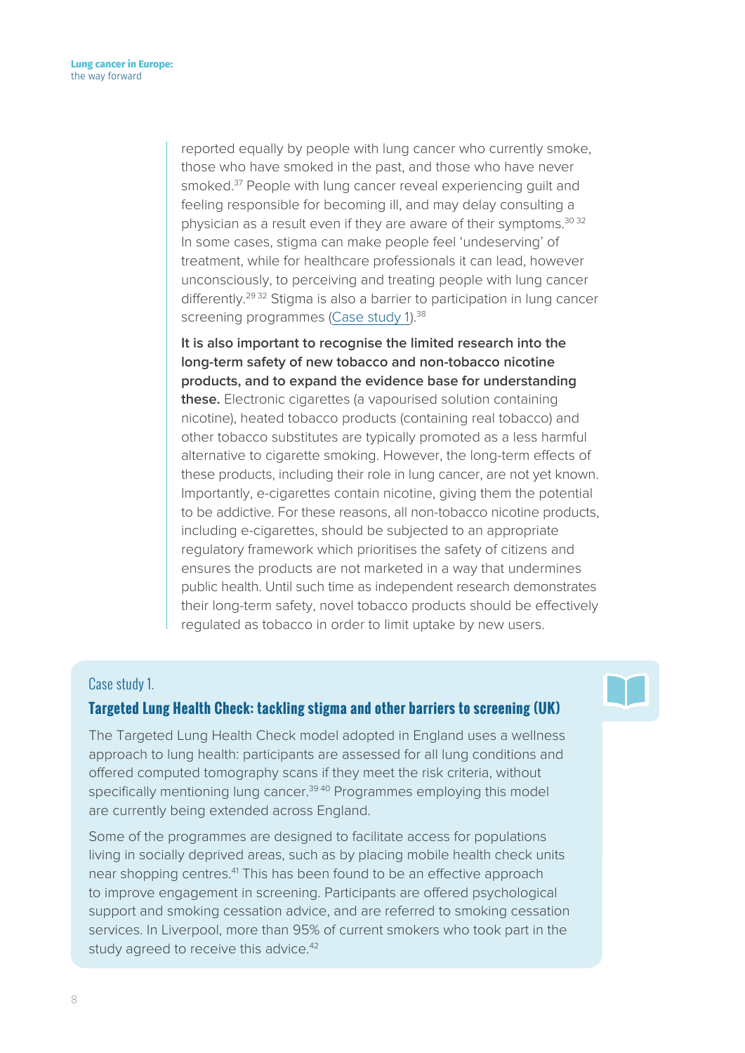reported equally by people with lung cancer who currently smoke, those who have smoked in the past, and those who have never smoked.<sup>37</sup> People with lung cancer reveal experiencing quilt and feeling responsible for becoming ill, and may delay consulting a physician as a result even if they are aware of their symptoms.<sup>30 32</sup> In some cases, stigma can make people feel 'undeserving' of treatment, while for healthcare professionals it can lead, however unconsciously, to perceiving and treating people with lung cancer differently.<sup>29 32</sup> Stigma is also a barrier to participation in lung cancer screening programmes [\(Case study 1\)](#page-7-0).<sup>38</sup>

**It is also important to recognise the limited research into the long-term safety of new tobacco and non-tobacco nicotine products, and to expand the evidence base for understanding these.** Electronic cigarettes (a vapourised solution containing nicotine), heated tobacco products (containing real tobacco) and other tobacco substitutes are typically promoted as a less harmful alternative to cigarette smoking. However, the long-term effects of these products, including their role in lung cancer, are not yet known. Importantly, e-cigarettes contain nicotine, giving them the potential to be addictive. For these reasons, all non-tobacco nicotine products, including e-cigarettes, should be subjected to an appropriate regulatory framework which prioritises the safety of citizens and ensures the products are not marketed in a way that undermines public health. Until such time as independent research demonstrates their long-term safety, novel tobacco products should be effectively regulated as tobacco in order to limit uptake by new users.

#### <span id="page-7-0"></span>Case study 1.

#### **Targeted Lung Health Check: tackling stigma and other barriers to screening (UK)**

The Targeted Lung Health Check model adopted in England uses a wellness approach to lung health: participants are assessed for all lung conditions and offered computed tomography scans if they meet the risk criteria, without specifically mentioning lung cancer.<sup>39 40</sup> Programmes employing this model are currently being extended across England.

Some of the programmes are designed to facilitate access for populations living in socially deprived areas, such as by placing mobile health check units near shopping centres.<sup>41</sup> This has been found to be an effective approach to improve engagement in screening. Participants are offered psychological support and smoking cessation advice, and are referred to smoking cessation services. In Liverpool, more than 95% of current smokers who took part in the study agreed to receive this advice.<sup>42</sup>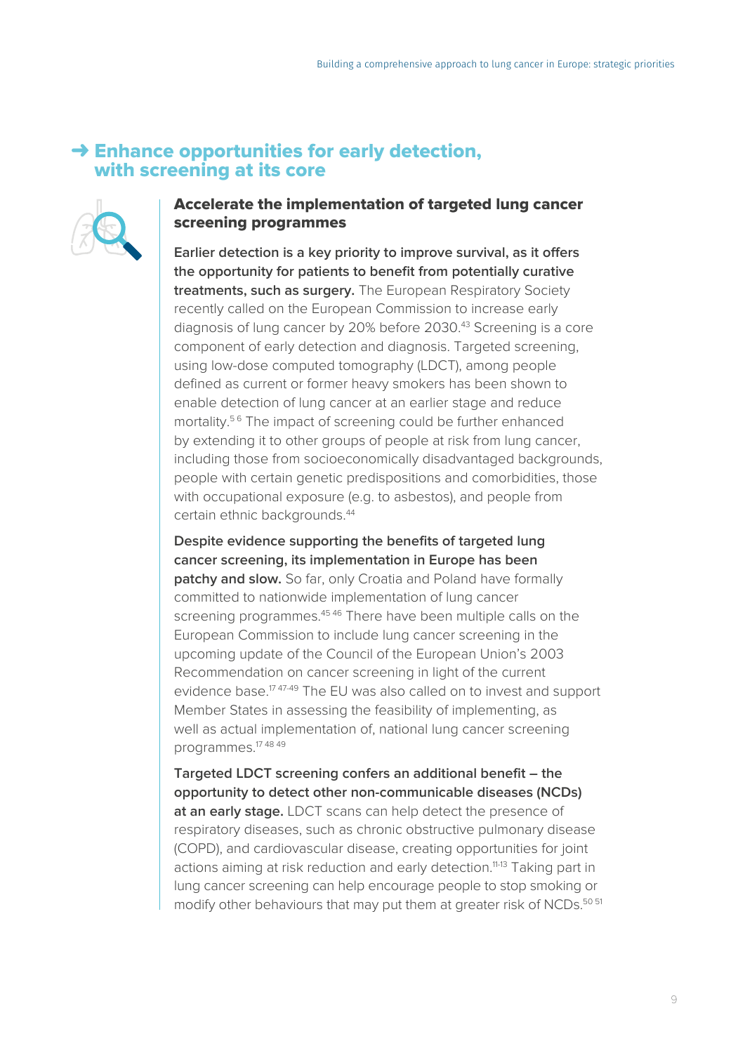# <span id="page-8-0"></span> $\rightarrow$  Enhance opportunities for early detection, with screening at its core



# Accelerate the implementation of targeted lung cancer screening programmes

**Earlier detection is a key priority to improve survival, as it offers the opportunity for patients to benefit from potentially curative treatments, such as surgery.** The European Respiratory Society recently called on the European Commission to increase early diagnosis of lung cancer by 20% before 2030.<sup>43</sup> Screening is a core component of early detection and diagnosis. Targeted screening, using low-dose computed tomography (LDCT), among people defined as current or former heavy smokers has been shown to enable detection of lung cancer at an earlier stage and reduce mortality.<sup>56</sup> The impact of screening could be further enhanced by extending it to other groups of people at risk from lung cancer, including those from socioeconomically disadvantaged backgrounds, people with certain genetic predispositions and comorbidities, those with occupational exposure (e.g. to asbestos), and people from certain ethnic backgrounds.<sup>44</sup>

**Despite evidence supporting the benefits of targeted lung cancer screening, its implementation in Europe has been patchy and slow.** So far, only Croatia and Poland have formally committed to nationwide implementation of lung cancer screening programmes.<sup>45,46</sup> There have been multiple calls on the European Commission to include lung cancer screening in the upcoming update of the Council of the European Union's 2003 Recommendation on cancer screening in light of the current evidence base.<sup>17 47-49</sup> The EU was also called on to invest and support Member States in assessing the feasibility of implementing, as well as actual implementation of, national lung cancer screening programmes.17 48 49

**Targeted LDCT screening confers an additional benefit – the opportunity to detect other non-communicable diseases (NCDs) at an early stage.** LDCT scans can help detect the presence of respiratory diseases, such as chronic obstructive pulmonary disease (COPD), and cardiovascular disease, creating opportunities for joint actions aiming at risk reduction and early detection.<sup>11-13</sup> Taking part in lung cancer screening can help encourage people to stop smoking or modify other behaviours that may put them at greater risk of NCDs.<sup>50 51</sup>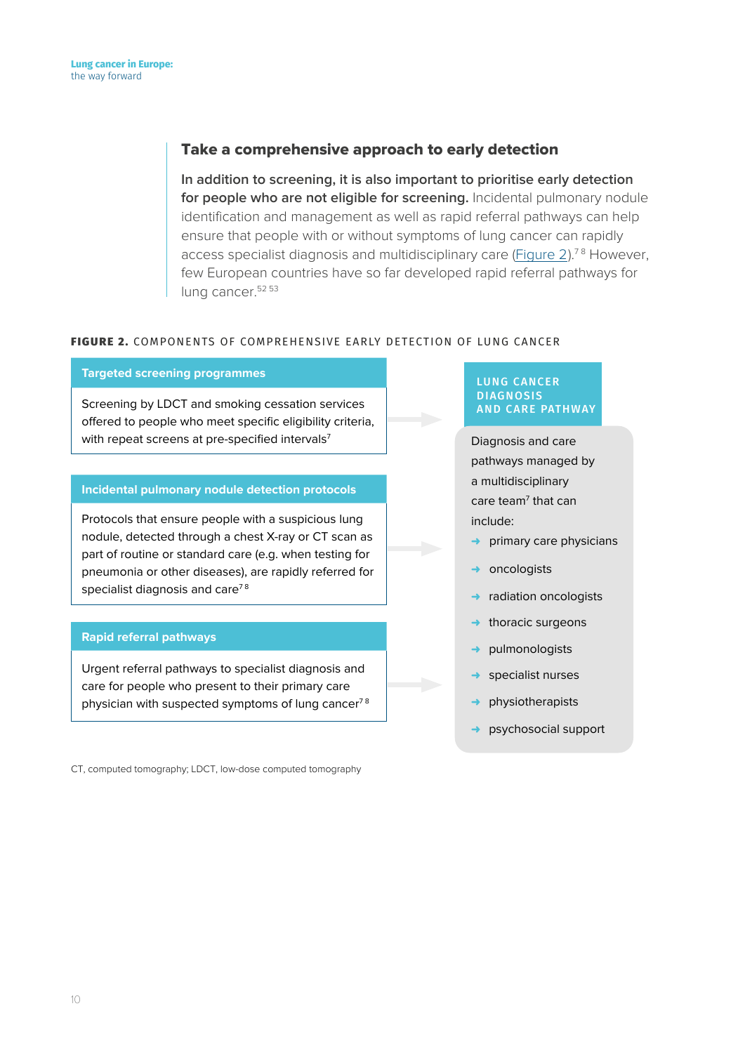### Take a comprehensive approach to early detection

**In addition to screening, it is also important to prioritise early detection for people who are not eligible for screening.** Incidental pulmonary nodule identification and management as well as rapid referral pathways can help ensure that people with or without symptoms of lung cancer can rapidly access specialist diagnosis and multidisciplinary care [\(Figure 2](#page-9-0)).<sup>78</sup> However, few European countries have so far developed rapid referral pathways for lung cancer.<sup>52 53</sup>

#### <span id="page-9-0"></span>FIGURE 2. COMPONENTS OF COMPREHENSIVE EARLY DETECTION OF LUNG CANCER

#### **Targeted screening programmes**

Screening by LDCT and smoking cessation services offered to people who meet specific eligibility criteria, with repeat screens at pre-specified intervals<sup>7</sup>

#### **Incidental pulmonary nodule detection protocols**

Protocols that ensure people with a suspicious lung nodule, detected through a chest X-ray or CT scan as part of routine or standard care (e.g. when testing for pneumonia or other diseases), are rapidly referred for specialist diagnosis and care<sup>78</sup>

#### **Rapid referral pathways**

Urgent referral pathways to specialist diagnosis and care for people who present to their primary care physician with suspected symptoms of lung cancer<sup>78</sup>

CT, computed tomography; LDCT, low-dose computed tomography

#### LUNG CANCER DIAGNOSIS AND CARE PATHWAY

Diagnosis and care pathways managed by a multidisciplinary care team<sup>7</sup> that can include:

- ➜ primary care physicians
- ➜ oncologists
- radiation oncologists
- thoracic surgeons
- ➜ pulmonologists
- specialist nurses
- ➜ physiotherapists
- ➜ psychosocial support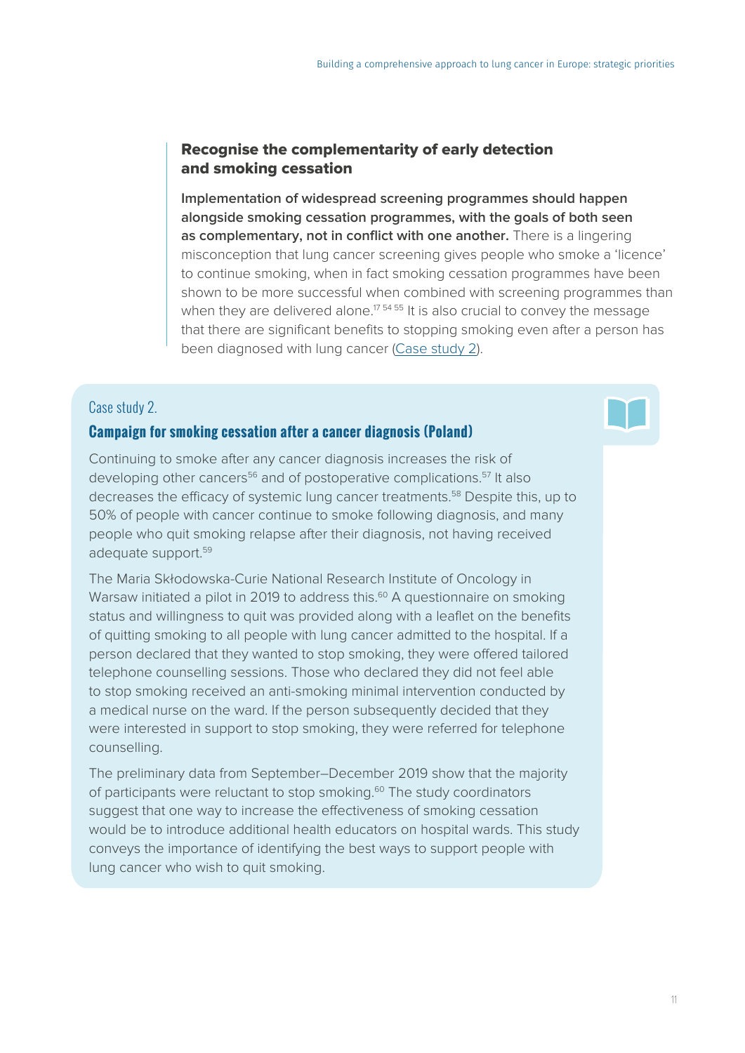## Recognise the complementarity of early detection and smoking cessation

**Implementation of widespread screening programmes should happen alongside smoking cessation programmes, with the goals of both seen as complementary, not in conflict with one another.** There is a lingering misconception that lung cancer screening gives people who smoke a 'licence' to continue smoking, when in fact smoking cessation programmes have been shown to be more successful when combined with screening programmes than when they are delivered alone.<sup>1754 55</sup> It is also crucial to convey the message that there are significant benefits to stopping smoking even after a person has been diagnosed with lung cancer [\(Case study 2](#page-10-0)).

# <span id="page-10-0"></span>Case study 2.

### **Campaign for smoking cessation after a cancer diagnosis (Poland)**

Continuing to smoke after any cancer diagnosis increases the risk of developing other cancers<sup>56</sup> and of postoperative complications.<sup>57</sup> It also decreases the efficacy of systemic lung cancer treatments.<sup>58</sup> Despite this, up to 50% of people with cancer continue to smoke following diagnosis, and many people who quit smoking relapse after their diagnosis, not having received adequate support.<sup>59</sup>

The Maria Skłodowska-Curie National Research Institute of Oncology in Warsaw initiated a pilot in 2019 to address this.<sup>60</sup> A questionnaire on smoking status and willingness to quit was provided along with a leaflet on the benefits of quitting smoking to all people with lung cancer admitted to the hospital. If a person declared that they wanted to stop smoking, they were offered tailored telephone counselling sessions. Those who declared they did not feel able to stop smoking received an anti-smoking minimal intervention conducted by a medical nurse on the ward. If the person subsequently decided that they were interested in support to stop smoking, they were referred for telephone counselling.

The preliminary data from September–December 2019 show that the majority of participants were reluctant to stop smoking.<sup>60</sup> The study coordinators suggest that one way to increase the effectiveness of smoking cessation would be to introduce additional health educators on hospital wards. This study conveys the importance of identifying the best ways to support people with lung cancer who wish to quit smoking.

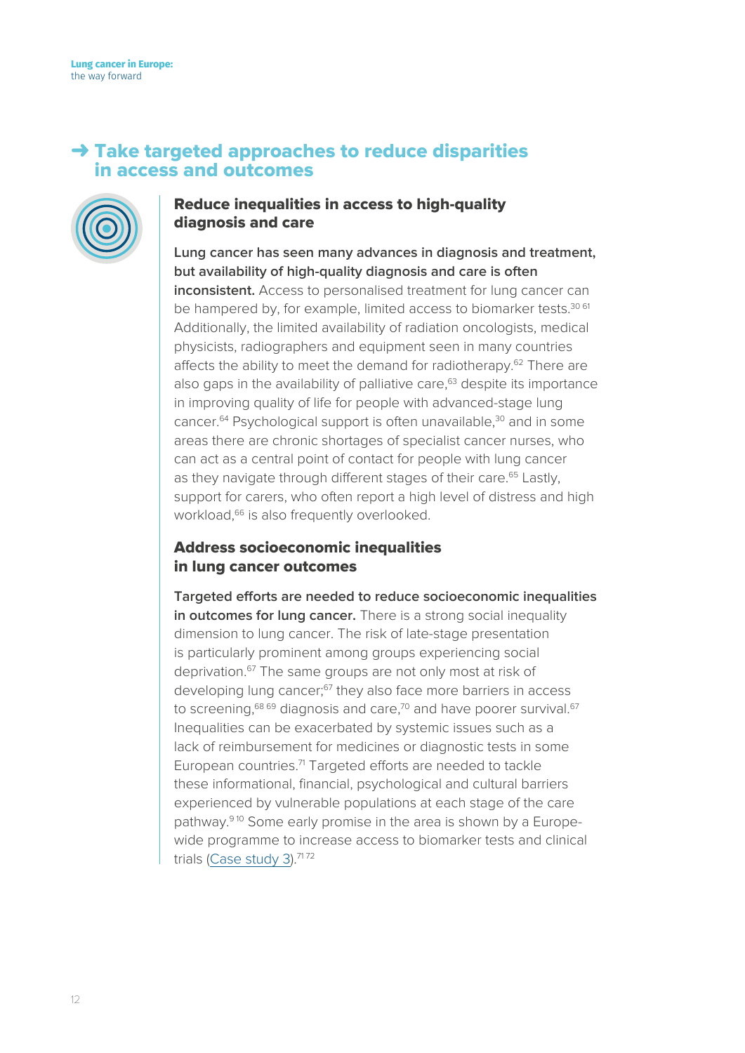# <span id="page-11-0"></span> $\rightarrow$  Take targeted approaches to reduce disparities in access and outcomes



# Reduce inequalities in access to high-quality diagnosis and care

**Lung cancer has seen many advances in diagnosis and treatment, but availability of high-quality diagnosis and care is often inconsistent.** Access to personalised treatment for lung cancer can be hampered by, for example, limited access to biomarker tests.<sup>30 61</sup> Additionally, the limited availability of radiation oncologists, medical physicists, radiographers and equipment seen in many countries affects the ability to meet the demand for radiotherapy.<sup>62</sup> There are also gaps in the availability of palliative care, $63$  despite its importance in improving quality of life for people with advanced-stage lung cancer.<sup>64</sup> Psychological support is often unavailable,<sup>30</sup> and in some areas there are chronic shortages of specialist cancer nurses, who can act as a central point of contact for people with lung cancer as they navigate through different stages of their care.<sup>65</sup> Lastly, support for carers, who often report a high level of distress and high workload,<sup>66</sup> is also frequently overlooked.

# Address socioeconomic inequalities in lung cancer outcomes

**Targeted efforts are needed to reduce socioeconomic inequalities in outcomes for lung cancer.** There is a strong social inequality dimension to lung cancer. The risk of late-stage presentation is particularly prominent among groups experiencing social deprivation.67 The same groups are not only most at risk of developing lung cancer;<sup>67</sup> they also face more barriers in access to screening,  $68\,69}$  diagnosis and care,  $70$  and have poorer survival.  $67$ Inequalities can be exacerbated by systemic issues such as a lack of reimbursement for medicines or diagnostic tests in some European countries.<sup>71</sup> Targeted efforts are needed to tackle these informational, financial, psychological and cultural barriers experienced by vulnerable populations at each stage of the care pathway.9 10 Some early promise in the area is shown by a Europewide programme to increase access to biomarker tests and clinical trials ([Case study 3](#page-12-0)).<sup>7172</sup>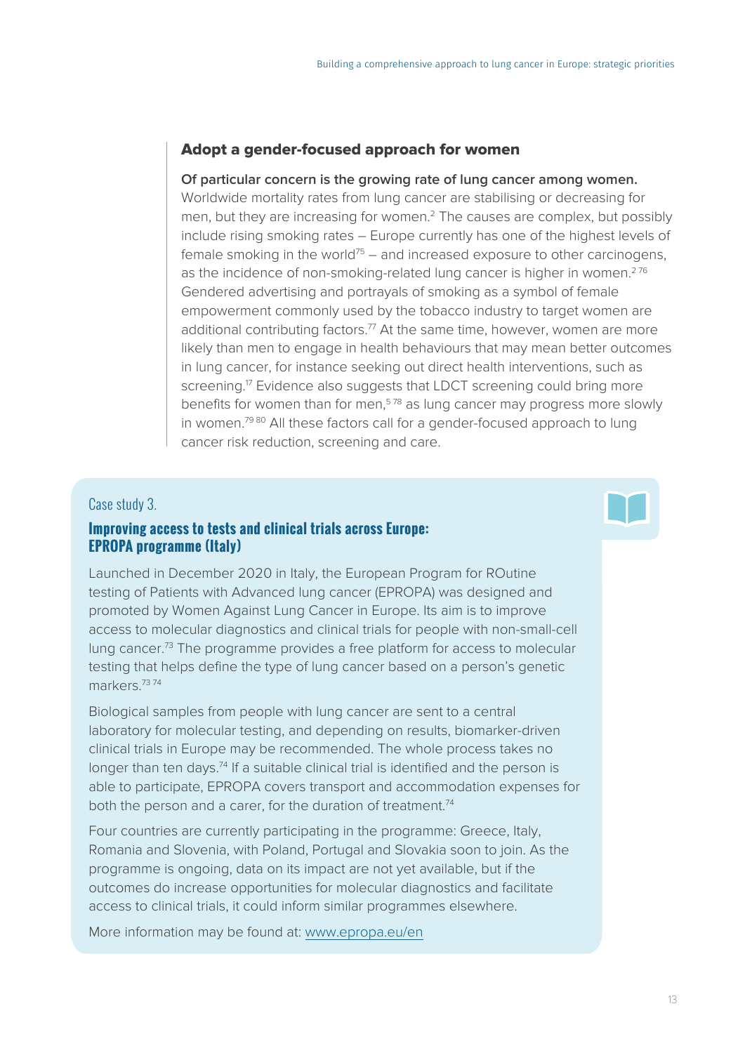# Adopt a gender-focused approach for women

#### **Of particular concern is the growing rate of lung cancer among women.**

Worldwide mortality rates from lung cancer are stabilising or decreasing for men, but they are increasing for women.2 The causes are complex, but possibly include rising smoking rates – Europe currently has one of the highest levels of female smoking in the world<sup>75</sup> – and increased exposure to other carcinogens, as the incidence of non-smoking-related lung cancer is higher in women.<sup>276</sup> Gendered advertising and portrayals of smoking as a symbol of female empowerment commonly used by the tobacco industry to target women are additional contributing factors.<sup>77</sup> At the same time, however, women are more likely than men to engage in health behaviours that may mean better outcomes in lung cancer, for instance seeking out direct health interventions, such as screening.<sup>17</sup> Evidence also suggests that LDCT screening could bring more benefits for women than for men.<sup>578</sup> as lung cancer may progress more slowly in women.<sup>79 80</sup> All these factors call for a gender-focused approach to lung cancer risk reduction, screening and care.

#### <span id="page-12-0"></span>Case study 3.

# **Improving access to tests and clinical trials across Europe: EPROPA programme (Italy)**

Launched in December 2020 in Italy, the European Program for ROutine testing of Patients with Advanced lung cancer (EPROPA) was designed and promoted by Women Against Lung Cancer in Europe. Its aim is to improve access to molecular diagnostics and clinical trials for people with non-small-cell lung cancer.73 The programme provides a free platform for access to molecular testing that helps define the type of lung cancer based on a person's genetic markers.73 74

Biological samples from people with lung cancer are sent to a central laboratory for molecular testing, and depending on results, biomarker-driven clinical trials in Europe may be recommended. The whole process takes no longer than ten days.74 If a suitable clinical trial is identified and the person is able to participate, EPROPA covers transport and accommodation expenses for both the person and a carer, for the duration of treatment.<sup>74</sup>

Four countries are currently participating in the programme: Greece, Italy, Romania and Slovenia, with Poland, Portugal and Slovakia soon to join. As the programme is ongoing, data on its impact are not yet available, but if the outcomes do increase opportunities for molecular diagnostics and facilitate access to clinical trials, it could inform similar programmes elsewhere.

More information may be found at: [www.epropa.eu/en](http://www.epropa.eu/en)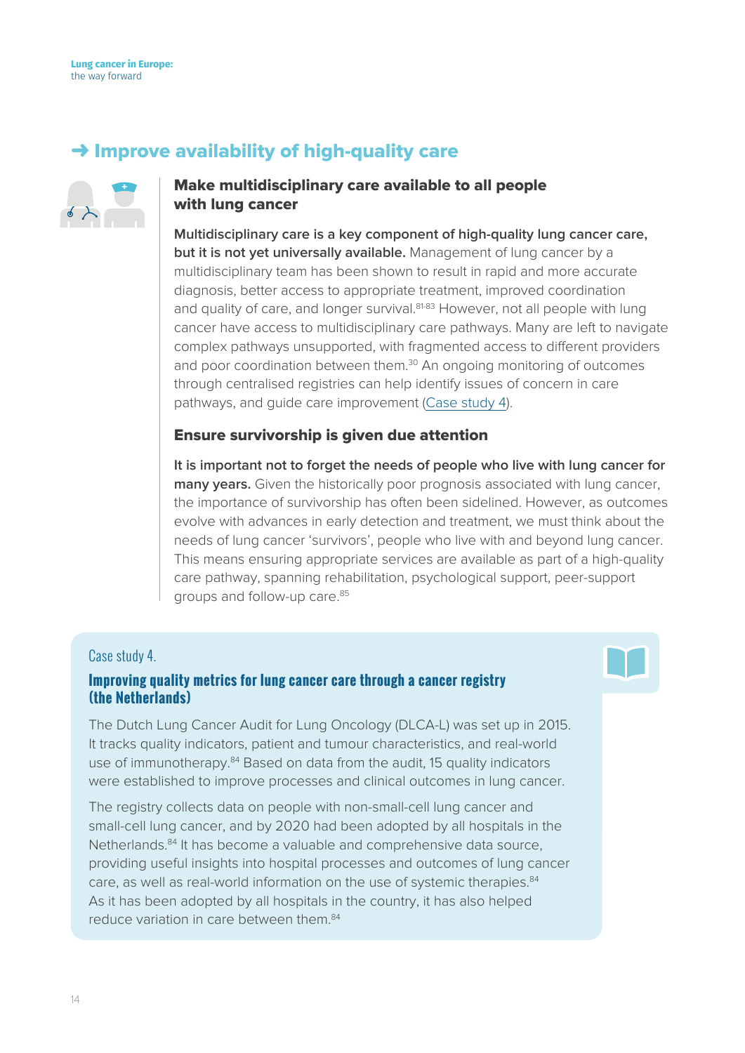# <span id="page-13-0"></span> $\rightarrow$  Improve availability of high-quality care



# Make multidisciplinary care available to all people with lung cancer

**Multidisciplinary care is a key component of high-quality lung cancer care, but it is not yet universally available.** Management of lung cancer by a multidisciplinary team has been shown to result in rapid and more accurate diagnosis, better access to appropriate treatment, improved coordination and quality of care, and longer survival.<sup>81-83</sup> However, not all people with lung cancer have access to multidisciplinary care pathways. Many are left to navigate complex pathways unsupported, with fragmented access to different providers and poor coordination between them.30 An ongoing monitoring of outcomes through centralised registries can help identify issues of concern in care pathways, and guide care improvement [\(Case study 4\)](#page-13-1).

#### Ensure survivorship is given due attention

**It is important not to forget the needs of people who live with lung cancer for many years.** Given the historically poor prognosis associated with lung cancer, the importance of survivorship has often been sidelined. However, as outcomes evolve with advances in early detection and treatment, we must think about the needs of lung cancer 'survivors', people who live with and beyond lung cancer. This means ensuring appropriate services are available as part of a high-quality care pathway, spanning rehabilitation, psychological support, peer-support groups and follow-up care.85

#### <span id="page-13-1"></span>Case study 4.

#### **Improving quality metrics for lung cancer care through a cancer registry (the Netherlands)**

The Dutch Lung Cancer Audit for Lung Oncology (DLCA-L) was set up in 2015. It tracks quality indicators, patient and tumour characteristics, and real-world use of immunotherapy.84 Based on data from the audit, 15 quality indicators were established to improve processes and clinical outcomes in lung cancer.

The registry collects data on people with non-small-cell lung cancer and small-cell lung cancer, and by 2020 had been adopted by all hospitals in the Netherlands.<sup>84</sup> It has become a valuable and comprehensive data source, providing useful insights into hospital processes and outcomes of lung cancer care, as well as real-world information on the use of systemic therapies.<sup>84</sup> As it has been adopted by all hospitals in the country, it has also helped reduce variation in care between them.<sup>84</sup>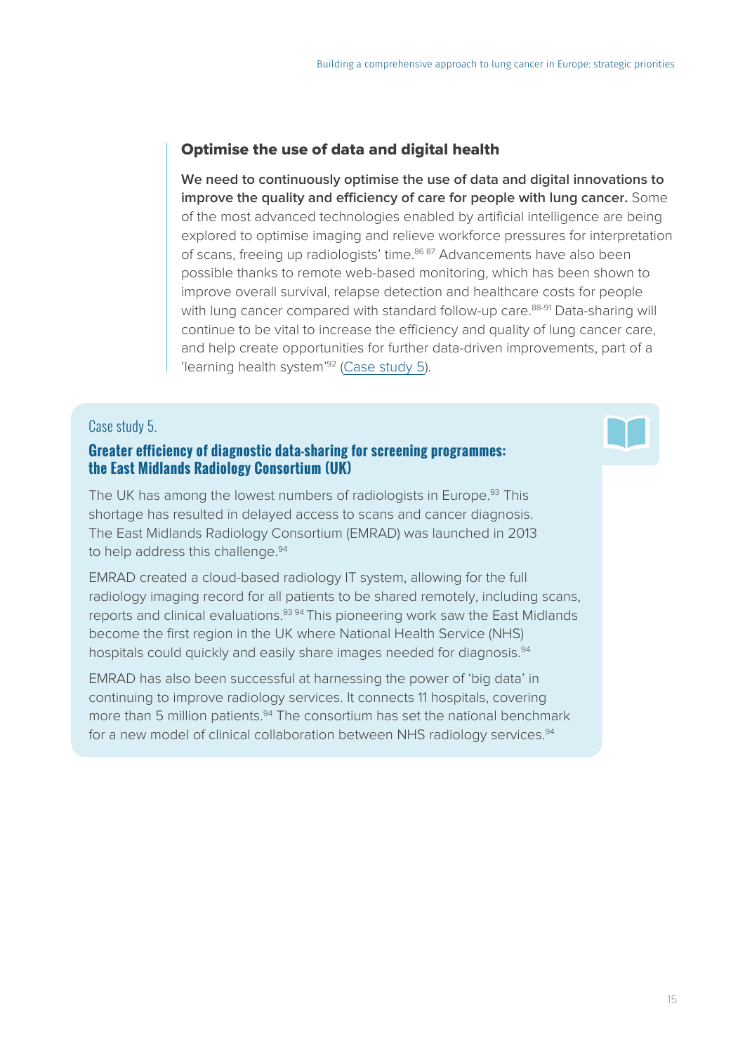# Optimise the use of data and digital health

**We need to continuously optimise the use of data and digital innovations to improve the quality and efficiency of care for people with lung cancer.** Some of the most advanced technologies enabled by artificial intelligence are being explored to optimise imaging and relieve workforce pressures for interpretation of scans, freeing up radiologists' time.<sup>86 87</sup> Advancements have also been possible thanks to remote web-based monitoring, which has been shown to improve overall survival, relapse detection and healthcare costs for people with lung cancer compared with standard follow-up care.<sup>88-91</sup> Data-sharing will continue to be vital to increase the efficiency and quality of lung cancer care, and help create opportunities for further data-driven improvements, part of a 'learning health system'92 ([Case study 5\)](#page-14-0).

#### <span id="page-14-0"></span>Case study 5.

# **Greater efficiency of diagnostic data-sharing for screening programmes: the East Midlands Radiology Consortium (UK)**

The UK has among the lowest numbers of radiologists in Europe.<sup>93</sup> This shortage has resulted in delayed access to scans and cancer diagnosis. The East Midlands Radiology Consortium (EMRAD) was launched in 2013 to help address this challenge.<sup>94</sup>

EMRAD created a cloud-based radiology IT system, allowing for the full radiology imaging record for all patients to be shared remotely, including scans, reports and clinical evaluations.93 94 This pioneering work saw the East Midlands become the first region in the UK where National Health Service (NHS) hospitals could quickly and easily share images needed for diagnosis.<sup>94</sup>

EMRAD has also been successful at harnessing the power of 'big data' in continuing to improve radiology services. It connects 11 hospitals, covering more than 5 million patients.<sup>94</sup> The consortium has set the national benchmark for a new model of clinical collaboration between NHS radiology services.<sup>94</sup>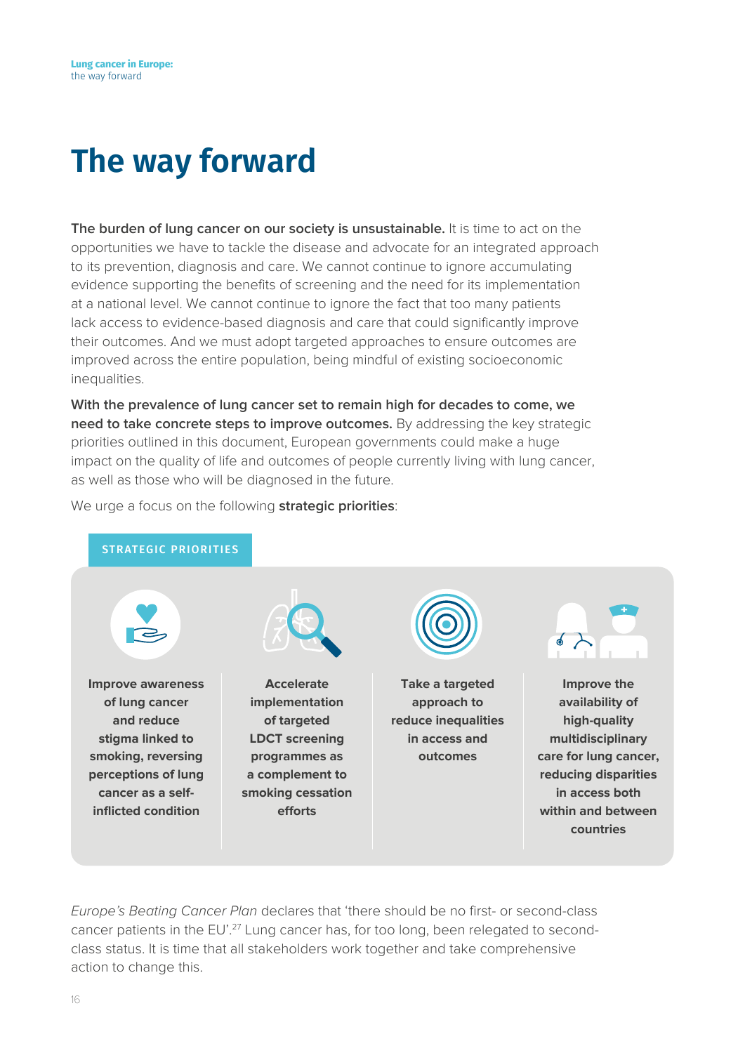# <span id="page-15-0"></span>**The way forward**

**The burden of lung cancer on our society is unsustainable.** It is time to act on the opportunities we have to tackle the disease and advocate for an integrated approach to its prevention, diagnosis and care. We cannot continue to ignore accumulating evidence supporting the benefits of screening and the need for its implementation at a national level. We cannot continue to ignore the fact that too many patients lack access to evidence-based diagnosis and care that could significantly improve their outcomes. And we must adopt targeted approaches to ensure outcomes are improved across the entire population, being mindful of existing socioeconomic inequalities.

**With the prevalence of lung cancer set to remain high for decades to come, we need to take concrete steps to improve outcomes.** By addressing the key strategic priorities outlined in this document, European governments could make a huge impact on the quality of life and outcomes of people currently living with lung cancer, as well as those who will be diagnosed in the future.



We urge a focus on the following **strategic priorities**:

*Europe's Beating Cancer Plan* declares that 'there should be no first- or second-class cancer patients in the EU'.<sup>27</sup> Lung cancer has, for too long, been relegated to secondclass status. It is time that all stakeholders work together and take comprehensive action to change this.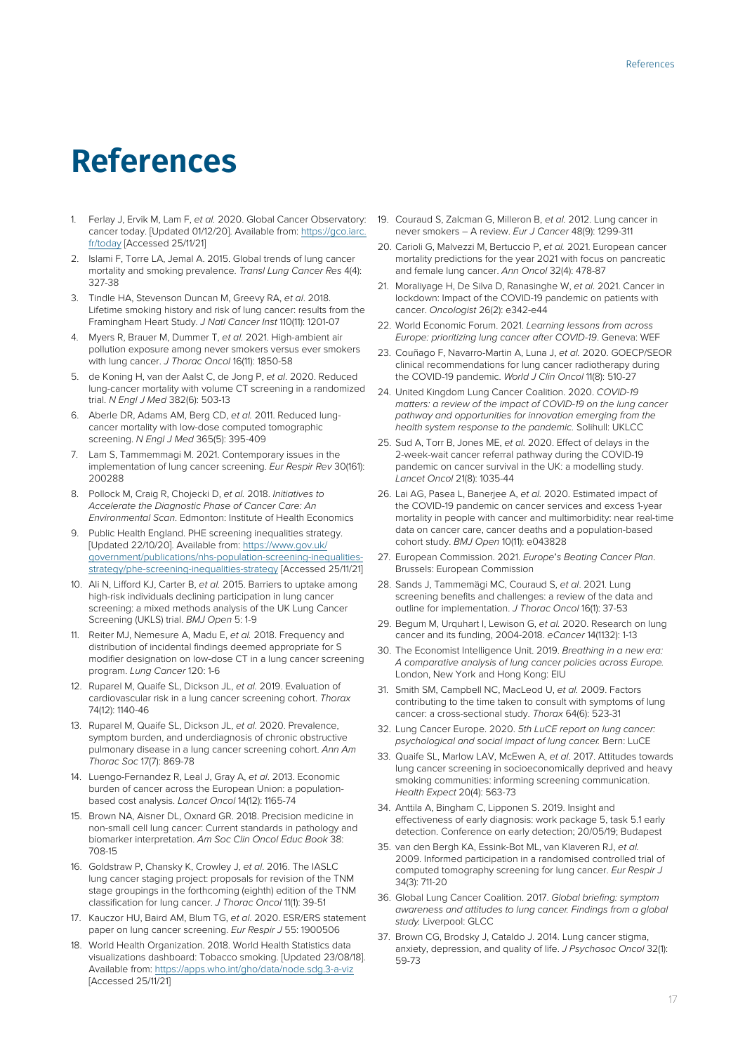# <span id="page-16-0"></span>**References**

- 1. Ferlay J, Ervik M, Lam F, *et al.* 2020. Global Cancer Observatory: cancer today. [Updated 01/12/20]. Available from: [https://gco.iarc.](https://gco.iarc.fr/today) [fr/today](https://gco.iarc.fr/today) [Accessed 25/11/21]
- 2. Islami F, Torre LA, Jemal A. 2015. Global trends of lung cancer mortality and smoking prevalence. *Transl Lung Cancer Res* 4(4): 327-38
- 3. Tindle HA, Stevenson Duncan M, Greevy RA, *et al*. 2018. Lifetime smoking history and risk of lung cancer: results from the Framingham Heart Study. *J Natl Cancer Inst* 110(11): 1201-07
- 4. Myers R, Brauer M, Dummer T, *et al.* 2021. High-ambient air pollution exposure among never smokers versus ever smokers with lung cancer. *J Thorac Oncol* 16(11): 1850-58
- 5. de Koning H, van der Aalst C, de Jong P, *et al*. 2020. Reduced lung-cancer mortality with volume CT screening in a randomized trial. *N Engl J Med* 382(6): 503-13
- 6. Aberle DR, Adams AM, Berg CD, *et al.* 2011. Reduced lungcancer mortality with low-dose computed tomographic screening. *N Engl J Med* 365(5): 395-409
- 7. Lam S, Tammemmagi M. 2021. Contemporary issues in the implementation of lung cancer screening. *Eur Respir Rev* 30(161): 200288
- 8. Pollock M, Craig R, Chojecki D, *et al.* 2018. *Initiatives to Accelerate the Diagnostic Phase of Cancer Care: An Environmental Scan*. Edmonton: Institute of Health Economics
- 9. Public Health England. PHE screening inequalities strategy. [Updated 22/10/20]. Available from: [https://www.gov.uk/](https://www.gov.uk/government/publications/nhs-population-screening-inequalities-strategy/phe-screening-inequalities-strategy) [government/publications/nhs-population-screening-inequalities](https://www.gov.uk/government/publications/nhs-population-screening-inequalities-strategy/phe-screening-inequalities-strategy)[strategy/phe-screening-inequalities-strategy](https://www.gov.uk/government/publications/nhs-population-screening-inequalities-strategy/phe-screening-inequalities-strategy) [Accessed 25/11/21]
- 10. Ali N, Lifford KJ, Carter B, *et al.* 2015. Barriers to uptake among high-risk individuals declining participation in lung cancer screening: a mixed methods analysis of the UK Lung Cancer Screening (UKLS) trial. *BMJ Open* 5: 1-9
- 11. Reiter MJ, Nemesure A, Madu E, *et al.* 2018. Frequency and distribution of incidental findings deemed appropriate for S modifier designation on low-dose CT in a lung cancer screening program. *Lung Cancer* 120: 1-6
- 12. Ruparel M, Quaife SL, Dickson JL, *et al.* 2019. Evaluation of cardiovascular risk in a lung cancer screening cohort. *Thorax* 74(12): 1140-46
- 13. Ruparel M, Quaife SL, Dickson JL, *et al.* 2020. Prevalence, symptom burden, and underdiagnosis of chronic obstructive pulmonary disease in a lung cancer screening cohort. *Ann Am Thorac Soc* 17(7): 869-78
- 14. Luengo-Fernandez R, Leal J, Gray A, *et al*. 2013. Economic burden of cancer across the European Union: a populationbased cost analysis. *Lancet Oncol* 14(12): 1165-74
- 15. Brown NA, Aisner DL, Oxnard GR. 2018. Precision medicine in non-small cell lung cancer: Current standards in pathology and biomarker interpretation. *Am Soc Clin Oncol Educ Book* 38: 708-15
- 16. Goldstraw P, Chansky K, Crowley J, *et al*. 2016. The IASLC lung cancer staging project: proposals for revision of the TNM stage groupings in the forthcoming (eighth) edition of the TNM classification for lung cancer. *J Thorac Oncol* 11(1): 39-51
- 17. Kauczor HU, Baird AM, Blum TG, *et al*. 2020. ESR/ERS statement paper on lung cancer screening. *Eur Respir J* 55: 1900506
- 18. World Health Organization. 2018. World Health Statistics data visualizations dashboard: Tobacco smoking. [Updated 23/08/18]. Available from: <https://apps.who.int/gho/data/node.sdg.3-a-viz> [Accessed 25/11/21]
- 19. Couraud S, Zalcman G, Milleron B, *et al.* 2012. Lung cancer in never smokers – A review. *Eur J Cancer* 48(9): 1299-311
- 20. Carioli G, Malvezzi M, Bertuccio P, *et al.* 2021. European cancer mortality predictions for the year 2021 with focus on pancreatic and female lung cancer. *Ann Oncol* 32(4): 478-87
- 21. Moraliyage H, De Silva D, Ranasinghe W, *et al*. 2021. Cancer in lockdown: Impact of the COVID-19 pandemic on patients with cancer. *Oncologist* 26(2): e342-e44
- 22. World Economic Forum. 2021. *Learning lessons from across Europe: prioritizing lung cancer after COVID-19*. Geneva: WEF
- 23. Couñago F, Navarro-Martin A, Luna J, *et al.* 2020. GOECP/SEOR clinical recommendations for lung cancer radiotherapy during the COVID-19 pandemic. *World J Clin Oncol* 11(8): 510-27
- 24. United Kingdom Lung Cancer Coalition. 2020. *COVID-19 matters: a review of the impact of COVID-19 on the lung cancer pathway and opportunities for innovation emerging from the health system response to the pandemic.* Solihull: UKLCC
- 25. Sud A, Torr B, Jones ME, *et al.* 2020. Effect of delays in the 2-week-wait cancer referral pathway during the COVID-19 pandemic on cancer survival in the UK: a modelling study. *Lancet Oncol* 21(8): 1035-44
- 26. Lai AG, Pasea L, Banerjee A, *et al.* 2020. Estimated impact of the COVID-19 pandemic on cancer services and excess 1-year mortality in people with cancer and multimorbidity: near real-time data on cancer care, cancer deaths and a population-based cohort study. *BMJ Open* 10(11): e043828
- 27. European Commission. 2021. *Europe*'*s Beating Cancer Plan*. Brussels: European Commission
- 28. Sands J, Tammemägi MC, Couraud S, *et al*. 2021. Lung screening benefits and challenges: a review of the data and outline for implementation. *J Thorac Oncol* 16(1): 37-53
- 29. Begum M, Urquhart I, Lewison G, *et al.* 2020. Research on lung cancer and its funding, 2004-2018. *eCancer* 14(1132): 1-13
- 30. The Economist Intelligence Unit. 2019. *Breathing in a new era: A comparative analysis of lung cancer policies across Europe.* London, New York and Hong Kong: EIU
- 31. Smith SM, Campbell NC, MacLeod U, *et al.* 2009. Factors contributing to the time taken to consult with symptoms of lung cancer: a cross-sectional study. *Thorax* 64(6): 523-31
- 32. Lung Cancer Europe. 2020. *5th LuCE report on lung cancer: psychological and social impact of lung cancer.* Bern: LuCE
- 33. Quaife SL, Marlow LAV, McEwen A, *et al*. 2017. Attitudes towards lung cancer screening in socioeconomically deprived and heavy smoking communities: informing screening communication. *Health Expect* 20(4): 563-73
- 34. Anttila A, Bingham C, Lipponen S. 2019. Insight and effectiveness of early diagnosis: work package 5, task 5.1 early detection. Conference on early detection; 20/05/19; Budapest
- 35. van den Bergh KA, Essink-Bot ML, van Klaveren RJ, *et al.* 2009. Informed participation in a randomised controlled trial of computed tomography screening for lung cancer. *Eur Respir J* 34(3): 711-20
- 36. Global Lung Cancer Coalition. 2017. *Global briefing: symptom awareness and attitudes to lung cancer. Findings from a global study.* Liverpool: GLCC
- 37. Brown CG, Brodsky J, Cataldo J. 2014. Lung cancer stigma, anxiety, depression, and quality of life. *J Psychosoc Oncol* 32(1): 59-73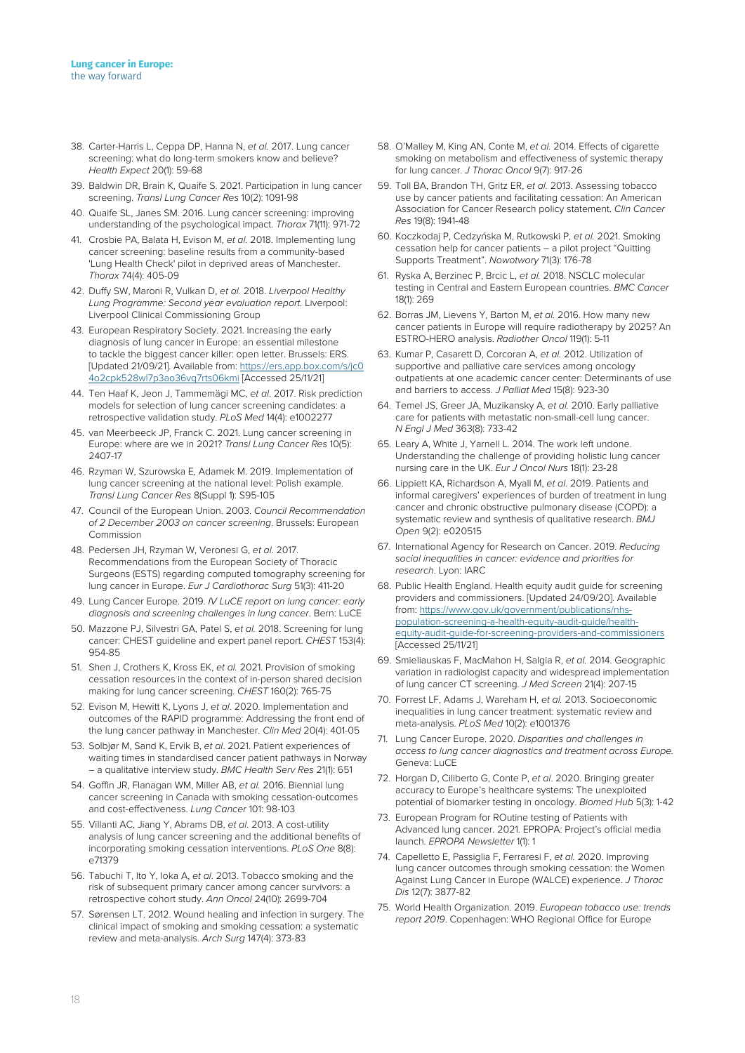- 38. Carter-Harris L, Ceppa DP, Hanna N, *et al.* 2017. Lung cancer screening: what do long-term smokers know and believe? *Health Expect* 20(1): 59-68
- 39. Baldwin DR, Brain K, Quaife S. 2021. Participation in lung cancer screening. *Transl Lung Cancer Res* 10(2): 1091-98
- 40. Quaife SL, Janes SM. 2016. Lung cancer screening: improving understanding of the psychological impact. *Thorax* 71(11): 971-72
- 41. Crosbie PA, Balata H, Evison M, *et al*. 2018. Implementing lung cancer screening: baseline results from a community-based 'Lung Health Check' pilot in deprived areas of Manchester. *Thorax* 74(4): 405-09
- 42. Duffy SW, Maroni R, Vulkan D, *et al.* 2018. *Liverpool Healthy Lung Programme: Second year evaluation report.* Liverpool: Liverpool Clinical Commissioning Group
- 43. European Respiratory Society. 2021. Increasing the early diagnosis of lung cancer in Europe: an essential milestone to tackle the biggest cancer killer: open letter. Brussels: ERS. [Updated 21/09/21]. Available from: [https://ers.app.box.com/s/jc0](https://ers.app.box.com/s/jc04o2cpk528wl7p3ao36vq7rts06kmi) [4o2cpk528wl7p3ao36vq7rts06kmi](https://ers.app.box.com/s/jc04o2cpk528wl7p3ao36vq7rts06kmi) [Accessed 25/11/21]
- 44. Ten Haaf K, Jeon J, Tammemägi MC, *et al*. 2017. Risk prediction models for selection of lung cancer screening candidates: a retrospective validation study. *PLoS Med* 14(4): e1002277
- 45. van Meerbeeck JP, Franck C. 2021. Lung cancer screening in Europe: where are we in 2021? *Transl Lung Cancer Res* 10(5): 2407-17
- 46. Rzyman W, Szurowska E, Adamek M. 2019. Implementation of lung cancer screening at the national level: Polish example. *Transl Lung Cancer Res* 8(Suppl 1): S95-105
- 47. Council of the European Union. 2003. *Council Recommendation of 2 December 2003 on cancer screening*. Brussels: European Commission
- 48. Pedersen JH, Rzyman W, Veronesi G, *et al*. 2017. Recommendations from the European Society of Thoracic Surgeons (ESTS) regarding computed tomography screening for lung cancer in Europe. *Eur J Cardiothorac Surg* 51(3): 411-20
- 49. Lung Cancer Europe. 2019. *IV LuCE report on lung cancer: early diagnosis and screening challenges in lung cancer*. Bern: LuCE
- 50. Mazzone PJ, Silvestri GA, Patel S, *et al.* 2018. Screening for lung cancer: CHEST guideline and expert panel report. *CHEST* 153(4): 954-85
- 51. Shen J, Crothers K, Kross EK, *et al.* 2021. Provision of smoking cessation resources in the context of in-person shared decision making for lung cancer screening. *CHEST* 160(2): 765-75
- 52. Evison M, Hewitt K, Lyons J, *et al*. 2020. Implementation and outcomes of the RAPID programme: Addressing the front end of the lung cancer pathway in Manchester. *Clin Med* 20(4): 401-05
- 53. Solbjør M, Sand K, Ervik B, *et al*. 2021. Patient experiences of waiting times in standardised cancer patient pathways in Norway – a qualitative interview study. *BMC Health Serv Res* 21(1): 651
- 54. Goffin JR, Flanagan WM, Miller AB, *et al.* 2016. Biennial lung cancer screening in Canada with smoking cessation-outcomes and cost-effectiveness. *Lung Cancer* 101: 98-103
- 55. Villanti AC, Jiang Y, Abrams DB, *et al*. 2013. A cost-utility analysis of lung cancer screening and the additional benefits of incorporating smoking cessation interventions. *PLoS One* 8(8): e71379
- 56. Tabuchi T, Ito Y, Ioka A, *et al*. 2013. Tobacco smoking and the risk of subsequent primary cancer among cancer survivors: a retrospective cohort study. *Ann Oncol* 24(10): 2699-704
- 57. Sørensen LT. 2012. Wound healing and infection in surgery. The clinical impact of smoking and smoking cessation: a systematic review and meta-analysis. *Arch Surg* 147(4): 373-83
- 58. O'Malley M, King AN, Conte M, *et al.* 2014. Effects of cigarette smoking on metabolism and effectiveness of systemic therapy for lung cancer. *J Thorac Oncol* 9(7): 917-26
- 59. Toll BA, Brandon TH, Gritz ER, *et al.* 2013. Assessing tobacco use by cancer patients and facilitating cessation: An American Association for Cancer Research policy statement. *Clin Cancer Res* 19(8): 1941-48
- 60. Koczkodaj P, Cedzyńska M, Rutkowski P, *et al.* 2021. Smoking cessation help for cancer patients – a pilot project "Quitting Supports Treatment". *Nowotwory* 71(3): 176-78
- 61. Ryska A, Berzinec P, Brcic L, *et al.* 2018. NSCLC molecular testing in Central and Eastern European countries. *BMC Cancer* 18(1): 269
- 62. Borras JM, Lievens Y, Barton M, *et al.* 2016. How many new cancer patients in Europe will require radiotherapy by 2025? An ESTRO-HERO analysis. *Radiother Oncol* 119(1): 5-11
- 63. Kumar P, Casarett D, Corcoran A, *et al.* 2012. Utilization of supportive and palliative care services among oncology outpatients at one academic cancer center: Determinants of use and barriers to access. *J Palliat Med* 15(8): 923-30
- 64. Temel JS, Greer JA, Muzikansky A, *et al.* 2010. Early palliative care for patients with metastatic non-small-cell lung cancer. *N Engl J Med* 363(8): 733-42
- 65. Leary A, White J, Yarnell L. 2014. The work left undone. Understanding the challenge of providing holistic lung cancer nursing care in the UK. *Eur J Oncol Nurs* 18(1): 23-28
- 66. Lippiett KA, Richardson A, Myall M, *et al*. 2019. Patients and informal caregivers' experiences of burden of treatment in lung cancer and chronic obstructive pulmonary disease (COPD): a systematic review and synthesis of qualitative research. *BMJ Open* 9(2): e020515
- 67. International Agency for Research on Cancer. 2019. *Reducing social inequalities in cancer: evidence and priorities for research*. Lyon: IARC
- 68. Public Health England. Health equity audit guide for screening providers and commissioners. [Updated 24/09/20]. Available from: [https://www.gov.uk/government/publications/nhs](https://www.gov.uk/government/publications/nhs-population-screening-a-health-equity-audit-guide/health-equity-audit-guide-for-screening-providers-and-commissioners)[population-screening-a-health-equity-audit-guide/health](https://www.gov.uk/government/publications/nhs-population-screening-a-health-equity-audit-guide/health-equity-audit-guide-for-screening-providers-and-commissioners)[equity-audit-guide-for-screening-providers-and-commissioners](https://www.gov.uk/government/publications/nhs-population-screening-a-health-equity-audit-guide/health-equity-audit-guide-for-screening-providers-and-commissioners) [Accessed 25/11/21]
- 69. Smieliauskas F, MacMahon H, Salgia R, *et al.* 2014. Geographic variation in radiologist capacity and widespread implementation of lung cancer CT screening. *J Med Screen* 21(4): 207-15
- 70. Forrest LF, Adams J, Wareham H, *et al.* 2013. Socioeconomic inequalities in lung cancer treatment: systematic review and meta-analysis. *PLoS Med* 10(2): e1001376
- 71. Lung Cancer Europe. 2020. *Disparities and challenges in access to lung cancer diagnostics and treatment across Europe.* Geneva: LuCE
- 72. Horgan D, Ciliberto G, Conte P, *et al*. 2020. Bringing greater accuracy to Europe's healthcare systems: The unexploited potential of biomarker testing in oncology. *Biomed Hub* 5(3): 1-42
- 73. European Program for ROutine testing of Patients with Advanced lung cancer. 2021. EPROPA: Project's official media launch. *EPROPA Newsletter* 1(1): 1
- 74. Capelletto E, Passiglia F, Ferraresi F, *et al.* 2020. Improving lung cancer outcomes through smoking cessation: the Women Against Lung Cancer in Europe (WALCE) experience. *J Thorac Dis* 12(7): 3877-82
- 75. World Health Organization. 2019. *European tobacco use: trends report 2019*. Copenhagen: WHO Regional Office for Europe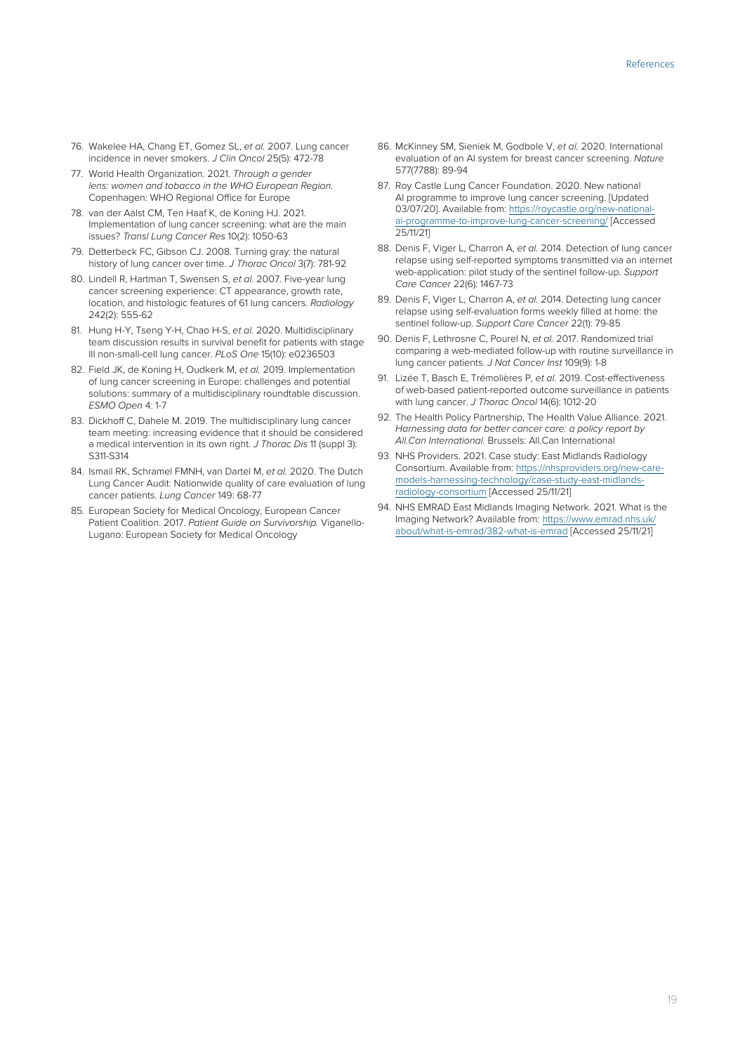- 76. Wakelee HA, Chang ET, Gomez SL, *et al.* 2007. Lung cancer incidence in never smokers. *J Clin Oncol* 25(5): 472-78
- 77. World Health Organization. 2021. *Through a gender lens: women and tobacco in the WHO European Region.* Copenhagen: WHO Regional Office for Europe
- 78. van der Aalst CM, Ten Haaf K, de Koning HJ. 2021. Implementation of lung cancer screening: what are the main issues? *Transl Lung Cancer Res* 10(2): 1050-63
- 79. Detterbeck FC, Gibson CJ. 2008. Turning gray: the natural history of lung cancer over time. *J Thorac Oncol* 3(7): 781-92
- 80. Lindell R, Hartman T, Swensen S, *et al*. 2007. Five-year lung cancer screening experience: CT appearance, growth rate, location, and histologic features of 61 lung cancers. *Radiology* 242(2): 555-62
- 81. Hung H-Y, Tseng Y-H, Chao H-S, *et al.* 2020. Multidisciplinary team discussion results in survival benefit for patients with stage III non-small-cell lung cancer. *PLoS One* 15(10): e0236503
- 82. Field JK, de Koning H, Oudkerk M, *et al.* 2019. Implementation of lung cancer screening in Europe: challenges and potential solutions: summary of a multidisciplinary roundtable discussion. *ESMO Open* 4: 1-7
- 83. Dickhoff C, Dahele M. 2019. The multidisciplinary lung cancer team meeting: increasing evidence that it should be considered a medical intervention in its own right. *J Thorac Dis* 11 (suppl 3): S311-S314
- 84. Ismail RK, Schramel FMNH, van Dartel M, *et al.* 2020. The Dutch Lung Cancer Audit: Nationwide quality of care evaluation of lung cancer patients. *Lung Cancer* 149: 68-77
- 85. European Society for Medical Oncology, European Cancer Patient Coalition. 2017. *Patient Guide on Survivorship.* Viganello-Lugano: European Society for Medical Oncology
- 86. McKinney SM, Sieniek M, Godbole V, *et al.* 2020. International evaluation of an AI system for breast cancer screening. *Nature* 577(7788): 89-94
- 87. Roy Castle Lung Cancer Foundation. 2020. New national AI programme to improve lung cancer screening. [Updated 03/07/20]. Available from: [https://roycastle.org/new-national](https://roycastle.org/new-national-ai-programme-to-improve-lung-cancer-screening/)[ai-programme-to-improve-lung-cancer-screening/](https://roycastle.org/new-national-ai-programme-to-improve-lung-cancer-screening/) [Accessed 25/11/21]
- 88. Denis F, Viger L, Charron A, *et al.* 2014. Detection of lung cancer relapse using self-reported symptoms transmitted via an internet web-application: pilot study of the sentinel follow-up. *Support Care Cancer* 22(6): 1467-73
- 89. Denis F, Viger L, Charron A, *et al.* 2014. Detecting lung cancer relapse using self-evaluation forms weekly filled at home: the sentinel follow-up. *Support Care Cancer* 22(1): 79-85
- 90. Denis F, Lethrosne C, Pourel N, *et al.* 2017. Randomized trial comparing a web-mediated follow-up with routine surveillance in lung cancer patients. *J Nat Cancer Inst* 109(9): 1-8
- 91. Lizée T, Basch E, Trémolières P, *et al.* 2019. Cost-effectiveness of web-based patient-reported outcome surveillance in patients with lung cancer. *J Thorac Oncol* 14(6): 1012-20
- 92. The Health Policy Partnership, The Health Value Alliance. 2021. *Harnessing data for better cancer care: a policy report by All.Can International.* Brussels: All.Can International
- 93. NHS Providers. 2021. Case study: East Midlands Radiology Consortium. Available from: [https://nhsproviders.org/new-care](https://nhsproviders.org/new-care-models-harnessing-technology/case-study-east-midlands-radiology-consortium)[models-harnessing-technology/case-study-east-midlands](https://nhsproviders.org/new-care-models-harnessing-technology/case-study-east-midlands-radiology-consortium)[radiology-consortium](https://nhsproviders.org/new-care-models-harnessing-technology/case-study-east-midlands-radiology-consortium) [Accessed 25/11/21]
- 94. NHS EMRAD East Midlands Imaging Network. 2021. What is the Imaging Network? Available from: [https://www.emrad.nhs.uk/](https://www.emrad.nhs.uk/about/what-is-emrad/382-what-is-emrad) [about/what-is-emrad/382-what-is-emrad](https://www.emrad.nhs.uk/about/what-is-emrad/382-what-is-emrad) [Accessed 25/11/21]